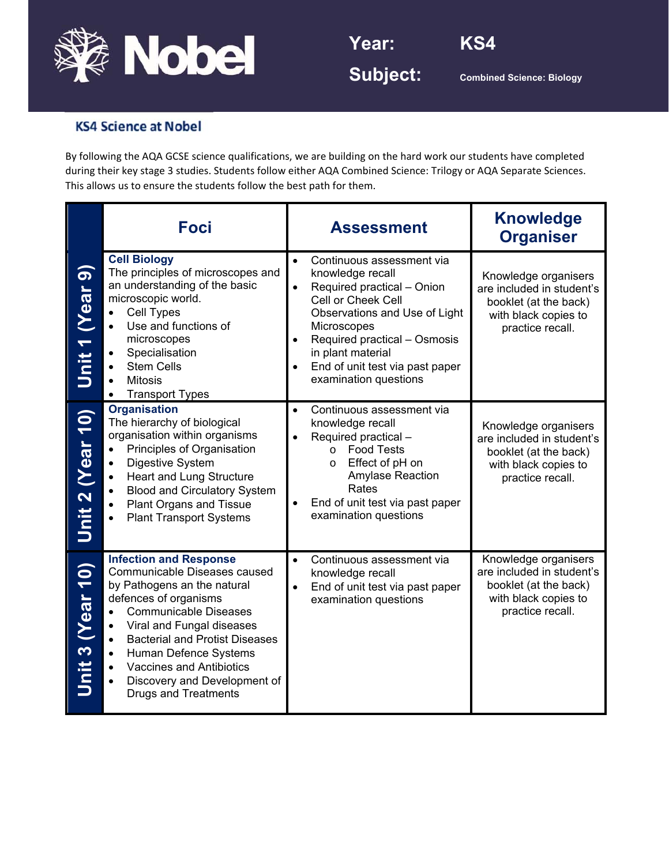

**Year: KS4** 



**Subject:** Combined Science: Biology

## **KS4 Science at Nobel**

By following the AQA GCSE science qualifications, we are building on the hard work our students have completed during their key stage 3 studies. Students follow either AQA Combined Science: Trilogy or AQA Separate Sciences. This allows us to ensure the students follow the best path for them.

|                         | <b>Foci</b>                                                                                                                                                                                                                                                                                                                                                                                   | <b>Assessment</b>                                                                                                                                                                                                                                                                                                             | <b>Knowledge</b><br><b>Organiser</b>                                                                                   |
|-------------------------|-----------------------------------------------------------------------------------------------------------------------------------------------------------------------------------------------------------------------------------------------------------------------------------------------------------------------------------------------------------------------------------------------|-------------------------------------------------------------------------------------------------------------------------------------------------------------------------------------------------------------------------------------------------------------------------------------------------------------------------------|------------------------------------------------------------------------------------------------------------------------|
| Unit 1 (Year 9)         | <b>Cell Biology</b><br>The principles of microscopes and<br>an understanding of the basic<br>microscopic world.<br>Cell Types<br>Use and functions of<br>microscopes<br>Specialisation<br><b>Stem Cells</b><br><b>Mitosis</b><br><b>Transport Types</b>                                                                                                                                       | Continuous assessment via<br>$\bullet$<br>knowledge recall<br>Required practical - Onion<br>$\bullet$<br>Cell or Cheek Cell<br>Observations and Use of Light<br><b>Microscopes</b><br>Required practical - Osmosis<br>$\bullet$<br>in plant material<br>End of unit test via past paper<br>$\bullet$<br>examination questions | Knowledge organisers<br>are included in student's<br>booklet (at the back)<br>with black copies to<br>practice recall. |
| Unit 2 (Year 10)        | <b>Organisation</b><br>The hierarchy of biological<br>organisation within organisms<br>Principles of Organisation<br><b>Digestive System</b><br>$\bullet$<br><b>Heart and Lung Structure</b><br>$\bullet$<br><b>Blood and Circulatory System</b><br><b>Plant Organs and Tissue</b><br><b>Plant Transport Systems</b>                                                                          | Continuous assessment via<br>$\bullet$<br>knowledge recall<br>Required practical -<br><b>Food Tests</b><br>$\circ$<br>Effect of pH on<br>$\circ$<br>Amylase Reaction<br>Rates<br>End of unit test via past paper<br>$\bullet$<br>examination questions                                                                        | Knowledge organisers<br>are included in student's<br>booklet (at the back)<br>with black copies to<br>practice recall. |
| <b>Jnit 3 (Year 10)</b> | <b>Infection and Response</b><br>Communicable Diseases caused<br>by Pathogens an the natural<br>defences of organisms<br><b>Communicable Diseases</b><br>$\bullet$<br>Viral and Fungal diseases<br>$\bullet$<br><b>Bacterial and Protist Diseases</b><br>$\bullet$<br>Human Defence Systems<br><b>Vaccines and Antibiotics</b><br>Discovery and Development of<br><b>Drugs and Treatments</b> | Continuous assessment via<br>$\bullet$<br>knowledge recall<br>End of unit test via past paper<br>$\bullet$<br>examination questions                                                                                                                                                                                           | Knowledge organisers<br>are included in student's<br>booklet (at the back)<br>with black copies to<br>practice recall. |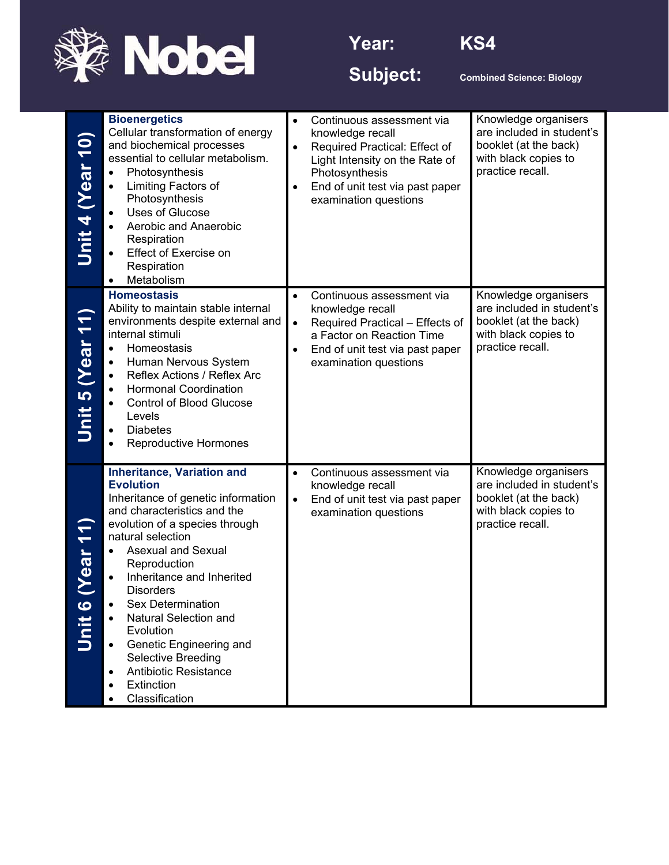



Subject: **Combined Science: Biology** 

| Unit 4 (Year 10) | <b>Bioenergetics</b><br>Cellular transformation of energy<br>and biochemical processes<br>essential to cellular metabolism.<br>Photosynthesis<br>Limiting Factors of<br>Photosynthesis<br><b>Uses of Glucose</b><br>Aerobic and Anaerobic<br>Respiration<br>Effect of Exercise on<br>Respiration<br>Metabolism                                                                                                                                                                 | $\bullet$<br>$\bullet$<br>$\bullet$ | Continuous assessment via<br>knowledge recall<br>Required Practical: Effect of<br>Light Intensity on the Rate of<br>Photosynthesis<br>End of unit test via past paper<br>examination questions | Knowledge organisers<br>are included in student's<br>booklet (at the back)<br>with black copies to<br>practice recall. |
|------------------|--------------------------------------------------------------------------------------------------------------------------------------------------------------------------------------------------------------------------------------------------------------------------------------------------------------------------------------------------------------------------------------------------------------------------------------------------------------------------------|-------------------------------------|------------------------------------------------------------------------------------------------------------------------------------------------------------------------------------------------|------------------------------------------------------------------------------------------------------------------------|
| Unit 5 (Year 11) | <b>Homeostasis</b><br>Ability to maintain stable internal<br>environments despite external and<br>internal stimuli<br>Homeostasis<br>$\bullet$<br>Human Nervous System<br>$\bullet$<br>Reflex Actions / Reflex Arc<br>$\bullet$<br><b>Hormonal Coordination</b><br>$\bullet$<br><b>Control of Blood Glucose</b><br>Levels<br><b>Diabetes</b><br>$\bullet$<br><b>Reproductive Hormones</b>                                                                                      | $\bullet$<br>$\bullet$<br>$\bullet$ | Continuous assessment via<br>knowledge recall<br>Required Practical - Effects of<br>a Factor on Reaction Time<br>End of unit test via past paper<br>examination questions                      | Knowledge organisers<br>are included in student's<br>booklet (at the back)<br>with black copies to<br>practice recall. |
| Jnit 6           | <b>Inheritance, Variation and</b><br><b>Evolution</b><br>Inheritance of genetic information<br>and characteristics and the<br>evolution of a species through<br>natural selection<br><b>Asexual and Sexual</b><br>Reproduction<br>Inheritance and Inherited<br><b>Disorders</b><br><b>Sex Determination</b><br><b>Natural Selection and</b><br>Evolution<br>Genetic Engineering and<br>٠<br>Selective Breeding<br><b>Antibiotic Resistance</b><br>Extinction<br>Classification | $\bullet$<br>$\bullet$              | Continuous assessment via<br>knowledge recall<br>End of unit test via past paper<br>examination questions                                                                                      | Knowledge organisers<br>are included in student's<br>booklet (at the back)<br>with black copies to<br>practice recall. |